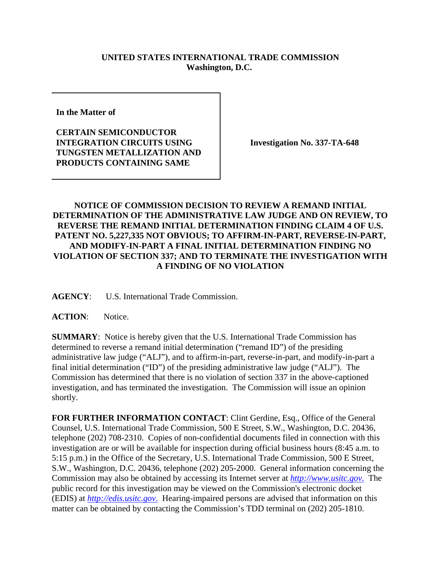## **UNITED STATES INTERNATIONAL TRADE COMMISSION Washington, D.C.**

**In the Matter of** 

**CERTAIN SEMICONDUCTOR INTEGRATION CIRCUITS USING TUNGSTEN METALLIZATION AND PRODUCTS CONTAINING SAME**

**Investigation No. 337-TA-648**

## **NOTICE OF COMMISSION DECISION TO REVIEW A REMAND INITIAL DETERMINATION OF THE ADMINISTRATIVE LAW JUDGE AND ON REVIEW, TO REVERSE THE REMAND INITIAL DETERMINATION FINDING CLAIM 4 OF U.S. PATENT NO. 5,227,335 NOT OBVIOUS; TO AFFIRM-IN-PART, REVERSE-IN-PART, AND MODIFY-IN-PART A FINAL INITIAL DETERMINATION FINDING NO VIOLATION OF SECTION 337; AND TO TERMINATE THE INVESTIGATION WITH A FINDING OF NO VIOLATION**

**AGENCY**: U.S. International Trade Commission.

**ACTION**: Notice.

**SUMMARY**: Notice is hereby given that the U.S. International Trade Commission has determined to reverse a remand initial determination ("remand ID") of the presiding administrative law judge ("ALJ"), and to affirm-in-part, reverse-in-part, and modify-in-part a final initial determination ("ID") of the presiding administrative law judge ("ALJ"). The Commission has determined that there is no violation of section 337 in the above-captioned investigation, and has terminated the investigation. The Commission will issue an opinion shortly.

**FOR FURTHER INFORMATION CONTACT**: Clint Gerdine, Esq., Office of the General Counsel, U.S. International Trade Commission, 500 E Street, S.W., Washington, D.C. 20436, telephone (202) 708-2310. Copies of non-confidential documents filed in connection with this investigation are or will be available for inspection during official business hours (8:45 a.m. to 5:15 p.m.) in the Office of the Secretary, U.S. International Trade Commission, 500 E Street, S.W., Washington, D.C. 20436, telephone (202) 205-2000. General information concerning the Commission may also be obtained by accessing its Internet server at *http://www.usitc.gov*. The public record for this investigation may be viewed on the Commission's electronic docket (EDIS) at *http://edis.usitc.gov*. Hearing-impaired persons are advised that information on this matter can be obtained by contacting the Commission's TDD terminal on (202) 205-1810.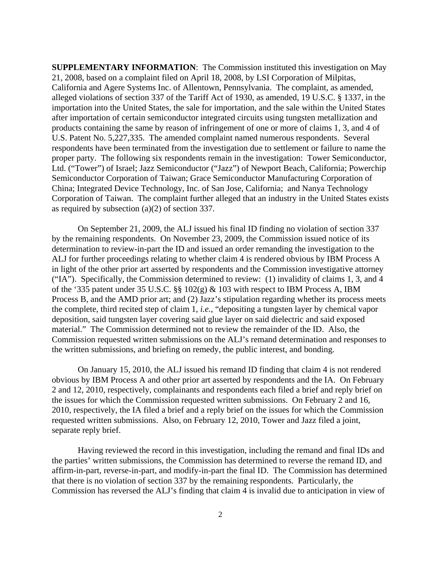**SUPPLEMENTARY INFORMATION**: The Commission instituted this investigation on May 21, 2008, based on a complaint filed on April 18, 2008, by LSI Corporation of Milpitas, California and Agere Systems Inc. of Allentown, Pennsylvania. The complaint, as amended, alleged violations of section 337 of the Tariff Act of 1930, as amended, 19 U.S.C. § 1337, in the importation into the United States, the sale for importation, and the sale within the United States after importation of certain semiconductor integrated circuits using tungsten metallization and products containing the same by reason of infringement of one or more of claims 1, 3, and 4 of U.S. Patent No. 5,227,335. The amended complaint named numerous respondents. Several respondents have been terminated from the investigation due to settlement or failure to name the proper party. The following six respondents remain in the investigation: Tower Semiconductor, Ltd. ("Tower") of Israel; Jazz Semiconductor ("Jazz") of Newport Beach, California; Powerchip Semiconductor Corporation of Taiwan; Grace Semiconductor Manufacturing Corporation of China; Integrated Device Technology, Inc. of San Jose, California; and Nanya Technology Corporation of Taiwan. The complaint further alleged that an industry in the United States exists as required by subsection (a)(2) of section 337.

On September 21, 2009, the ALJ issued his final ID finding no violation of section 337 by the remaining respondents. On November 23, 2009, the Commission issued notice of its determination to review-in-part the ID and issued an order remanding the investigation to the ALJ for further proceedings relating to whether claim 4 is rendered obvious by IBM Process A in light of the other prior art asserted by respondents and the Commission investigative attorney ("IA"). Specifically, the Commission determined to review: (1) invalidity of claims 1, 3, and 4 of the '335 patent under 35 U.S.C. §§ 102(g) & 103 with respect to IBM Process A, IBM Process B, and the AMD prior art; and (2) Jazz's stipulation regarding whether its process meets the complete, third recited step of claim 1, *i.e.*, "depositing a tungsten layer by chemical vapor deposition, said tungsten layer covering said glue layer on said dielectric and said exposed material." The Commission determined not to review the remainder of the ID. Also, the Commission requested written submissions on the ALJ's remand determination and responses to the written submissions, and briefing on remedy, the public interest, and bonding.

On January 15, 2010, the ALJ issued his remand ID finding that claim 4 is not rendered obvious by IBM Process A and other prior art asserted by respondents and the IA. On February 2 and 12, 2010, respectively, complainants and respondents each filed a brief and reply brief on the issues for which the Commission requested written submissions. On February 2 and 16, 2010, respectively, the IA filed a brief and a reply brief on the issues for which the Commission requested written submissions. Also, on February 12, 2010, Tower and Jazz filed a joint, separate reply brief.

Having reviewed the record in this investigation, including the remand and final IDs and the parties' written submissions, the Commission has determined to reverse the remand ID, and affirm-in-part, reverse-in-part, and modify-in-part the final ID. The Commission has determined that there is no violation of section 337 by the remaining respondents. Particularly, the Commission has reversed the ALJ's finding that claim 4 is invalid due to anticipation in view of